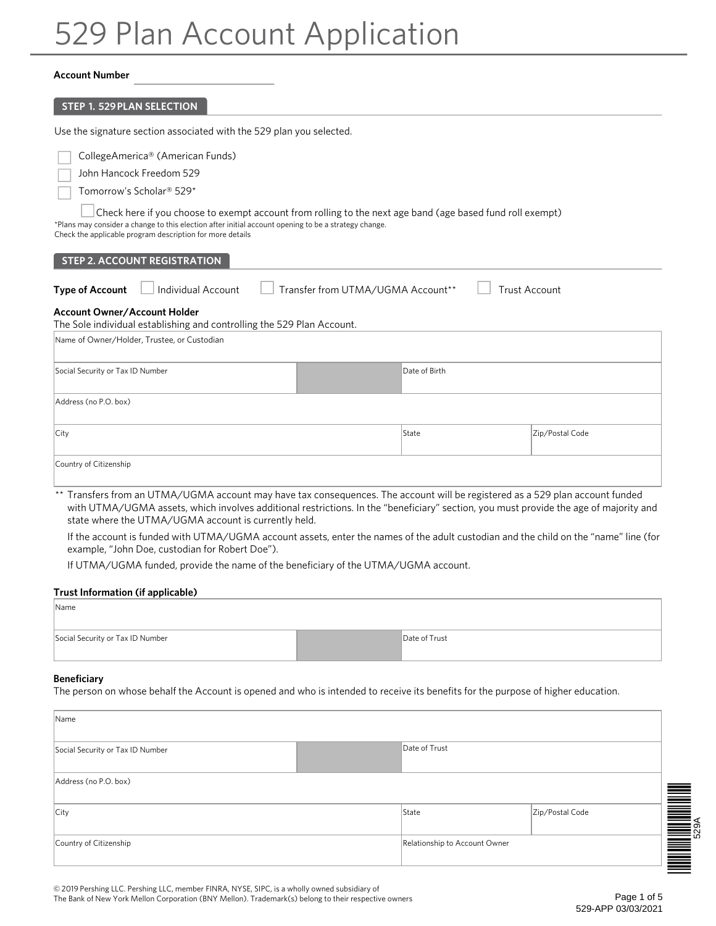# 529 Plan Account Application

#### **Account Number**

| <b>STEP 1. 529 PLAN SELECTION</b>                                                                                                                                                                                                                                                                                     |  |               |                 |
|-----------------------------------------------------------------------------------------------------------------------------------------------------------------------------------------------------------------------------------------------------------------------------------------------------------------------|--|---------------|-----------------|
| Use the signature section associated with the 529 plan you selected.                                                                                                                                                                                                                                                  |  |               |                 |
| CollegeAmerica® (American Funds)<br>John Hancock Freedom 529<br>Tomorrow's Scholar® 529*                                                                                                                                                                                                                              |  |               |                 |
| Check here if you choose to exempt account from rolling to the next age band (age based fund roll exempt)<br>*Plans may consider a change to this election after initial account opening to be a strategy change.<br>Check the applicable program description for more details<br><b>STEP 2. ACCOUNT REGISTRATION</b> |  |               |                 |
| Individual Account<br>Transfer from UTMA/UGMA Account**<br><b>Trust Account</b><br><b>Type of Account</b><br><b>Account Owner/Account Holder</b><br>The Sole individual establishing and controlling the 529 Plan Account.                                                                                            |  |               |                 |
| Name of Owner/Holder, Trustee, or Custodian                                                                                                                                                                                                                                                                           |  |               |                 |
| Social Security or Tax ID Number                                                                                                                                                                                                                                                                                      |  | Date of Birth |                 |
| Address (no P.O. box)                                                                                                                                                                                                                                                                                                 |  |               |                 |
| City                                                                                                                                                                                                                                                                                                                  |  | State         | Zip/Postal Code |
| Country of Citizenship                                                                                                                                                                                                                                                                                                |  |               |                 |

\*\* Transfers from an UTMA/UGMA account may have tax consequences. The account will be registered as a 529 plan account funded with UTMA/UGMA assets, which involves additional restrictions. In the "beneficiary" section, you must provide the age of majority and state where the UTMA/UGMA account is currently held.

If the account is funded with UTMA/UGMA account assets, enter the names of the adult custodian and the child on the "name" line (for example, "John Doe, custodian for Robert Doe").

If UTMA/UGMA funded, provide the name of the beneficiary of the UTMA/UGMA account.

#### **Trust Information (if applicable)**

| Name                             |               |
|----------------------------------|---------------|
| Social Security or Tax ID Number | Date of Trust |

#### **Beneficiary**

The person on whose behalf the Account is opened and who is intended to receive its benefits for the purpose of higher education.

| Name                             |  |                               |                 |  |
|----------------------------------|--|-------------------------------|-----------------|--|
| Social Security or Tax ID Number |  | Date of Trust                 |                 |  |
| Address (no P.O. box)            |  |                               |                 |  |
| City                             |  | State                         | Zip/Postal Code |  |
| Country of Citizenship           |  | Relationship to Account Owner |                 |  |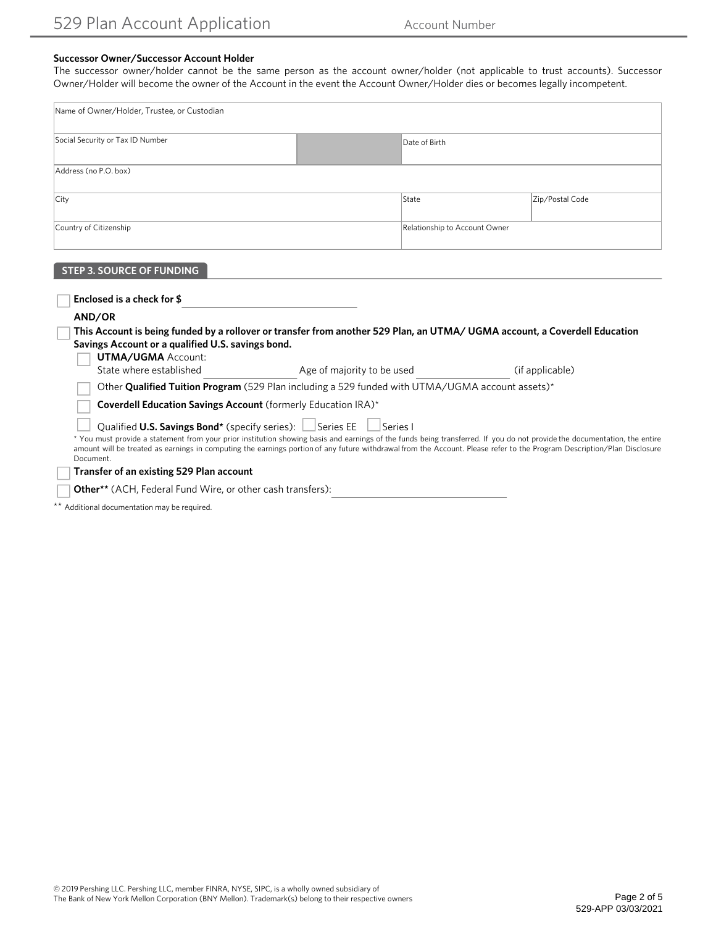## **Successor Owner/Successor Account Holder**

The successor owner/holder cannot be the same person as the account owner/holder (not applicable to trust accounts). Successor Owner/Holder will become the owner of the Account in the event the Account Owner/Holder dies or becomes legally incompetent.

| Name of Owner/Holder, Trustee, or Custodian |  |                               |                 |  |
|---------------------------------------------|--|-------------------------------|-----------------|--|
| Social Security or Tax ID Number            |  | Date of Birth                 |                 |  |
| Address (no P.O. box)                       |  |                               |                 |  |
| City                                        |  | State                         | Zip/Postal Code |  |
| Country of Citizenship                      |  | Relationship to Account Owner |                 |  |

# **STEP 3. SOURCE OF FUNDING**

| Enclosed is a check for \$                                                     |                                                                                                                                                                                                                                                                                                                                                                     |                 |
|--------------------------------------------------------------------------------|---------------------------------------------------------------------------------------------------------------------------------------------------------------------------------------------------------------------------------------------------------------------------------------------------------------------------------------------------------------------|-----------------|
| AND/OR                                                                         |                                                                                                                                                                                                                                                                                                                                                                     |                 |
| Savings Account or a qualified U.S. savings bond.<br><b>UTMA/UGMA Account:</b> | This Account is being funded by a rollover or transfer from another 529 Plan, an UTMA/UGMA account, a Coverdell Education                                                                                                                                                                                                                                           |                 |
| State where established                                                        | Age of majority to be used                                                                                                                                                                                                                                                                                                                                          | (if applicable) |
|                                                                                | Other Qualified Tuition Program (529 Plan including a 529 funded with UTMA/UGMA account assets)*                                                                                                                                                                                                                                                                    |                 |
| <b>Coverdell Education Savings Account</b> (formerly Education IRA)*           |                                                                                                                                                                                                                                                                                                                                                                     |                 |
| Qualified U.S. Savings Bond* (specify series): Series EE<br>Document.          | l ISeries I<br>* You must provide a statement from your prior institution showing basis and earnings of the funds being transferred. If you do not provide the documentation, the entire<br>amount will be treated as earnings in computing the earnings portion of any future withdrawal from the Account. Please refer to the Program Description/Plan Disclosure |                 |
| Transfer of an existing 529 Plan account                                       |                                                                                                                                                                                                                                                                                                                                                                     |                 |
| Other** (ACH, Federal Fund Wire, or other cash transfers):                     |                                                                                                                                                                                                                                                                                                                                                                     |                 |

\*\* Additional documentation may be required.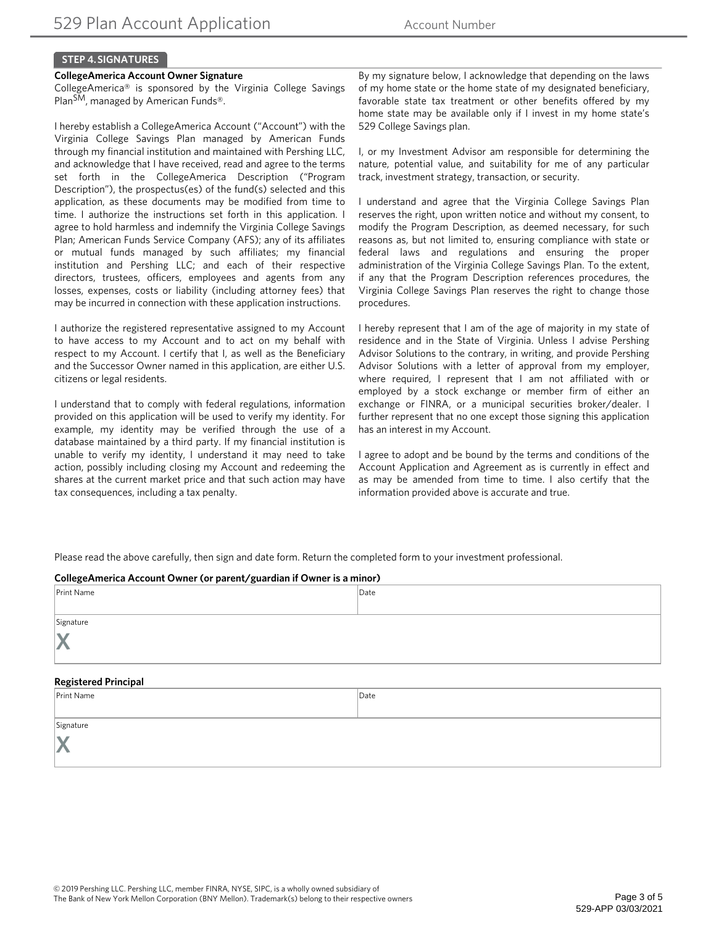# **STEP 4. SIGNATURES**

### **CollegeAmerica Account Owner Signature**

CollegeAmerica® is sponsored by the Virginia College Savings Plan<sup>SM</sup>, managed by American Funds<sup>®</sup>.

I hereby establish a CollegeAmerica Account ("Account") with the Virginia College Savings Plan managed by American Funds through my financial institution and maintained with Pershing LLC, and acknowledge that I have received, read and agree to the terms set forth in the CollegeAmerica Description ("Program Description"), the prospectus(es) of the fund(s) selected and this application, as these documents may be modified from time to time. I authorize the instructions set forth in this application. I agree to hold harmless and indemnify the Virginia College Savings Plan; American Funds Service Company (AFS); any of its affiliates or mutual funds managed by such affiliates; my financial institution and Pershing LLC; and each of their respective directors, trustees, officers, employees and agents from any losses, expenses, costs or liability (including attorney fees) that may be incurred in connection with these application instructions.

I authorize the registered representative assigned to my Account to have access to my Account and to act on my behalf with respect to my Account. I certify that I, as well as the Beneficiary and the Successor Owner named in this application, are either U.S. citizens or legal residents.

I understand that to comply with federal regulations, information provided on this application will be used to verify my identity. For example, my identity may be verified through the use of a database maintained by a third party. If my financial institution is unable to verify my identity, I understand it may need to take action, possibly including closing my Account and redeeming the shares at the current market price and that such action may have tax consequences, including a tax penalty.

By my signature below, I acknowledge that depending on the laws of my home state or the home state of my designated beneficiary, favorable state tax treatment or other benefits offered by my home state may be available only if I invest in my home state's 529 College Savings plan.

I, or my Investment Advisor am responsible for determining the nature, potential value, and suitability for me of any particular track, investment strategy, transaction, or security.

I understand and agree that the Virginia College Savings Plan reserves the right, upon written notice and without my consent, to modify the Program Description, as deemed necessary, for such reasons as, but not limited to, ensuring compliance with state or federal laws and regulations and ensuring the proper administration of the Virginia College Savings Plan. To the extent, if any that the Program Description references procedures, the Virginia College Savings Plan reserves the right to change those procedures.

I hereby represent that I am of the age of majority in my state of residence and in the State of Virginia. Unless I advise Pershing Advisor Solutions to the contrary, in writing, and provide Pershing Advisor Solutions with a letter of approval from my employer, where required, I represent that I am not affiliated with or employed by a stock exchange or member firm of either an exchange or FINRA, or a municipal securities broker/dealer. I further represent that no one except those signing this application has an interest in my Account.

I agree to adopt and be bound by the terms and conditions of the Account Application and Agreement as is currently in effect and as may be amended from time to time. I also certify that the information provided above is accurate and true.

Please read the above carefully, then sign and date form. Return the completed form to your investment professional.

| CollegeAmerica Account Owner (or parent/guardian if Owner is a minor) |      |  |
|-----------------------------------------------------------------------|------|--|
| Print Name                                                            | Date |  |
|                                                                       |      |  |
| Signature                                                             |      |  |
|                                                                       |      |  |
| <b>Registered Principal</b>                                           |      |  |
| Print Name                                                            | Date |  |
| Signature                                                             |      |  |
|                                                                       |      |  |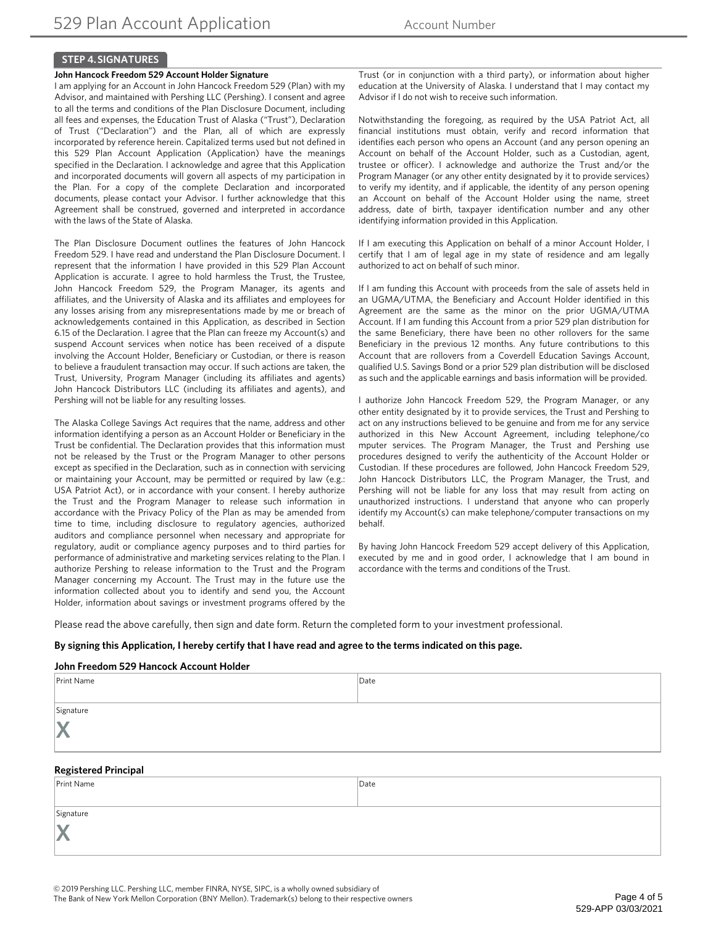## **STEP 4. SIGNATURES**

#### **John Hancock Freedom 529 Account Holder Signature**

I am applying for an Account in John Hancock Freedom 529 (Plan) with my Advisor, and maintained with Pershing LLC (Pershing). I consent and agree to all the terms and conditions of the Plan Disclosure Document, including all fees and expenses, the Education Trust of Alaska ("Trust"), Declaration of Trust ("Declaration") and the Plan, all of which are expressly incorporated by reference herein. Capitalized terms used but not defined in this 529 Plan Account Application (Application) have the meanings specified in the Declaration. I acknowledge and agree that this Application and incorporated documents will govern all aspects of my participation in the Plan. For a copy of the complete Declaration and incorporated documents, please contact your Advisor. I further acknowledge that this Agreement shall be construed, governed and interpreted in accordance with the laws of the State of Alaska.

The Plan Disclosure Document outlines the features of John Hancock Freedom 529. I have read and understand the Plan Disclosure Document. I represent that the information I have provided in this 529 Plan Account Application is accurate. I agree to hold harmless the Trust, the Trustee, John Hancock Freedom 529, the Program Manager, its agents and affiliates, and the University of Alaska and its affiliates and employees for any losses arising from any misrepresentations made by me or breach of acknowledgements contained in this Application, as described in Section 6.15 of the Declaration. I agree that the Plan can freeze my Account(s) and suspend Account services when notice has been received of a dispute involving the Account Holder, Beneficiary or Custodian, or there is reason to believe a fraudulent transaction may occur. If such actions are taken, the Trust, University, Program Manager (including its affiliates and agents) John Hancock Distributors LLC (including its affiliates and agents), and Pershing will not be liable for any resulting losses.

The Alaska College Savings Act requires that the name, address and other information identifying a person as an Account Holder or Beneficiary in the Trust be confidential. The Declaration provides that this information must not be released by the Trust or the Program Manager to other persons except as specified in the Declaration, such as in connection with servicing or maintaining your Account, may be permitted or required by law (e.g.: USA Patriot Act), or in accordance with your consent. I hereby authorize the Trust and the Program Manager to release such information in accordance with the Privacy Policy of the Plan as may be amended from time to time, including disclosure to regulatory agencies, authorized auditors and compliance personnel when necessary and appropriate for regulatory, audit or compliance agency purposes and to third parties for performance of administrative and marketing services relating to the Plan. I authorize Pershing to release information to the Trust and the Program Manager concerning my Account. The Trust may in the future use the information collected about you to identify and send you, the Account Holder, information about savings or investment programs offered by the

Trust (or in conjunction with a third party), or information about higher education at the University of Alaska. I understand that I may contact my Advisor if I do not wish to receive such information.

Notwithstanding the foregoing, as required by the USA Patriot Act, all financial institutions must obtain, verify and record information that identifies each person who opens an Account (and any person opening an Account on behalf of the Account Holder, such as a Custodian, agent, trustee or officer). I acknowledge and authorize the Trust and/or the Program Manager (or any other entity designated by it to provide services) to verify my identity, and if applicable, the identity of any person opening an Account on behalf of the Account Holder using the name, street address, date of birth, taxpayer identification number and any other identifying information provided in this Application.

If I am executing this Application on behalf of a minor Account Holder, I certify that I am of legal age in my state of residence and am legally authorized to act on behalf of such minor.

If I am funding this Account with proceeds from the sale of assets held in an UGMA/UTMA, the Beneficiary and Account Holder identified in this Agreement are the same as the minor on the prior UGMA/UTMA Account. If I am funding this Account from a prior 529 plan distribution for the same Beneficiary, there have been no other rollovers for the same Beneficiary in the previous 12 months. Any future contributions to this Account that are rollovers from a Coverdell Education Savings Account, qualified U.S. Savings Bond or a prior 529 plan distribution will be disclosed as such and the applicable earnings and basis information will be provided.

I authorize John Hancock Freedom 529, the Program Manager, or any other entity designated by it to provide services, the Trust and Pershing to act on any instructions believed to be genuine and from me for any service authorized in this New Account Agreement, including telephone/co mputer services. The Program Manager, the Trust and Pershing use procedures designed to verify the authenticity of the Account Holder or Custodian. If these procedures are followed, John Hancock Freedom 529, John Hancock Distributors LLC, the Program Manager, the Trust, and Pershing will not be liable for any loss that may result from acting on unauthorized instructions. I understand that anyone who can properly identify my Account(s) can make telephone/computer transactions on my behalf.

By having John Hancock Freedom 529 accept delivery of this Application, executed by me and in good order, I acknowledge that I am bound in accordance with the terms and conditions of the Trust.

Please read the above carefully, then sign and date form. Return the completed form to your investment professional.

#### **By signing this Application, I hereby certify that I have read and agree to the terms indicated on this page.**

#### **John Freedom 529 Hancock Account Holder**

| Print Name                  | Date |
|-----------------------------|------|
|                             |      |
| Signature                   |      |
| X                           |      |
| <b>Registered Principal</b> |      |
| Print Name                  | Date |
| Signature                   |      |
|                             |      |